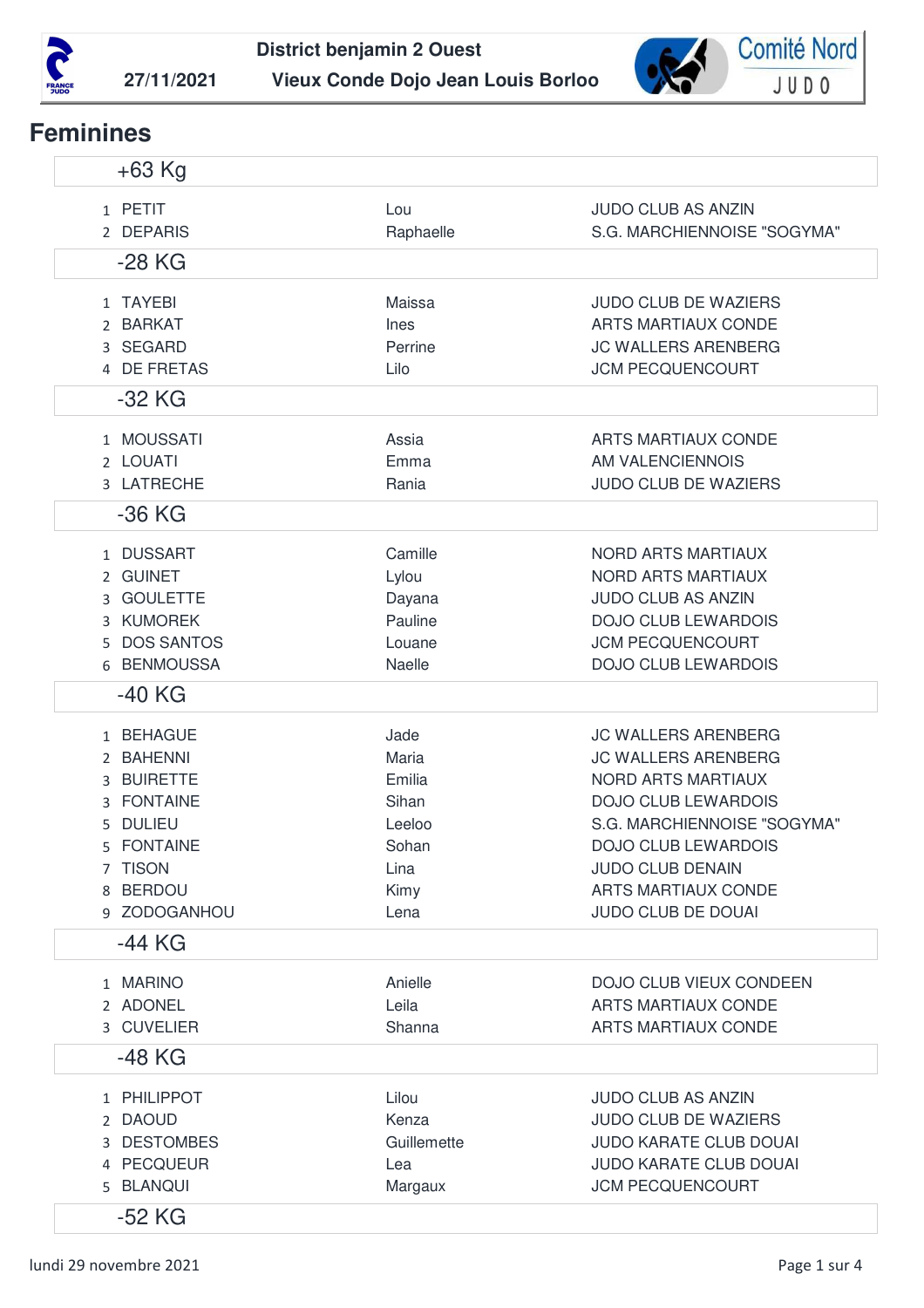



## **Feminines**

| $+63$ Kg                                                                                                                                 |                                                                             |                                                                                                                                                                                                                                                                        |
|------------------------------------------------------------------------------------------------------------------------------------------|-----------------------------------------------------------------------------|------------------------------------------------------------------------------------------------------------------------------------------------------------------------------------------------------------------------------------------------------------------------|
| 1 PETIT<br>2 DEPARIS                                                                                                                     | Lou<br>Raphaelle                                                            | <b>JUDO CLUB AS ANZIN</b><br>S.G. MARCHIENNOISE "SOGYMA"                                                                                                                                                                                                               |
| $-28$ KG                                                                                                                                 |                                                                             |                                                                                                                                                                                                                                                                        |
| 1 TAYEBI<br>2 BARKAT<br>3 SEGARD<br>4 DE FRETAS<br>$-32$ KG                                                                              | Maissa<br>Ines<br>Perrine<br>Lilo                                           | <b>JUDO CLUB DE WAZIERS</b><br><b>ARTS MARTIAUX CONDE</b><br><b>JC WALLERS ARENBERG</b><br><b>JCM PECQUENCOURT</b>                                                                                                                                                     |
| 1 MOUSSATI<br>2 LOUATI<br>3 LATRECHE<br>$-36$ KG                                                                                         | Assia<br>Emma<br>Rania                                                      | <b>ARTS MARTIAUX CONDE</b><br>AM VALENCIENNOIS<br><b>JUDO CLUB DE WAZIERS</b>                                                                                                                                                                                          |
| 1 DUSSART<br>2 GUINET<br>3 GOULETTE<br>3 KUMOREK<br>5 DOS SANTOS<br>6 BENMOUSSA<br>-40 KG                                                | Camille<br>Lylou<br>Dayana<br>Pauline<br>Louane<br>Naelle                   | NORD ARTS MARTIAUX<br><b>NORD ARTS MARTIAUX</b><br><b>JUDO CLUB AS ANZIN</b><br><b>DOJO CLUB LEWARDOIS</b><br><b>JCM PECQUENCOURT</b><br><b>DOJO CLUB LEWARDOIS</b>                                                                                                    |
| 1 BEHAGUE<br>2 BAHENNI<br><b>BUIRETTE</b><br>3<br>3 FONTAINE<br><b>DULIEU</b><br>5.<br>5 FONTAINE<br>7 TISON<br>8 BERDOU<br>9 ZODOGANHOU | Jade<br>Maria<br>Emilia<br>Sihan<br>Leeloo<br>Sohan<br>Lina<br>Kimy<br>Lena | <b>JC WALLERS ARENBERG</b><br><b>JC WALLERS ARENBERG</b><br><b>NORD ARTS MARTIAUX</b><br><b>DOJO CLUB LEWARDOIS</b><br>S.G. MARCHIENNOISE "SOGYMA"<br><b>DOJO CLUB LEWARDOIS</b><br><b>JUDO CLUB DENAIN</b><br><b>ARTS MARTIAUX CONDE</b><br><b>JUDO CLUB DE DOUAI</b> |
| $-44$ KG                                                                                                                                 |                                                                             |                                                                                                                                                                                                                                                                        |
| 1 MARINO<br>2 ADONEL<br>3 CUVELIER                                                                                                       | Anielle<br>Leila<br>Shanna                                                  | DOJO CLUB VIEUX CONDEEN<br><b>ARTS MARTIAUX CONDE</b><br>ARTS MARTIAUX CONDE                                                                                                                                                                                           |
| -48 KG                                                                                                                                   |                                                                             |                                                                                                                                                                                                                                                                        |
| 1 PHILIPPOT<br>2 DAOUD<br>3 DESTOMBES<br>4 PECQUEUR<br>5 BLANQUI                                                                         | Lilou<br>Kenza<br>Guillemette<br>Lea<br>Margaux                             | <b>JUDO CLUB AS ANZIN</b><br><b>JUDO CLUB DE WAZIERS</b><br><b>JUDO KARATE CLUB DOUAI</b><br><b>JUDO KARATE CLUB DOUAI</b><br><b>JCM PECQUENCOURT</b>                                                                                                                  |
| $-52$ KG                                                                                                                                 |                                                                             |                                                                                                                                                                                                                                                                        |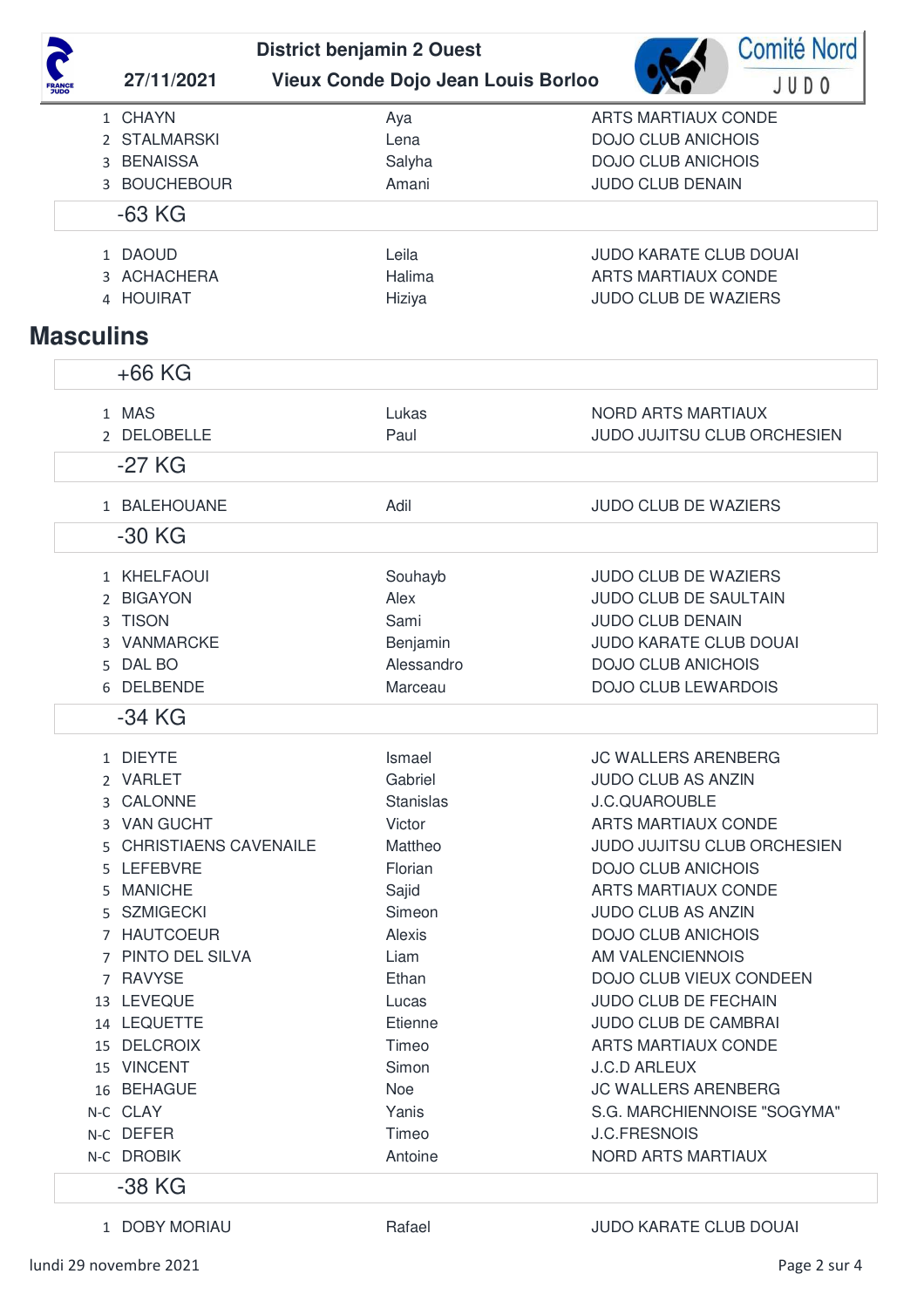**Comité Nord District benjamin 2 Ouest 27/11/2021 Vieux Conde Dojo Jean Louis Borloo** JUDO 1 CHAYN Aya ARTS MARTIAUX CONDE 2 STALMARSKI Lena Lena DOJO CLUB ANICHOIS 3 BENAISSA Salyha Salyha DOJO CLUB ANICHOIS 3 BOUCHEBOUR Amani Amani JUDO CLUB DENAIN -63 KG 1 DAOUD Leila Leila JUDO KARATE CLUB DOUAI 3 ACHACHERA Halima Halima ARTS MARTIAUX CONDE 4 HOUIRAT Hiziya Hiziya Hiziya JUDO CLUB DE WAZIERS **Masculins** +66 KG 1 MAS Lukas NORD ARTS MARTIAUX 2 DELOBELLE Paul Paul JUDO JUJITSU CLUB ORCHESIEN -27 KG 1 BALEHOUANE Adil JUDO CLUB DE WAZIERS -30 KG 1 KHELFAOUI Souhayb Souhayb JUDO CLUB DE WAZIERS 2 BIGAYON Alex Alex JUDO CLUB DE SAULTAIN 3 TISON Sami Sami JUDO CLUB DENAIN 3 VANMARCKE Benjamin Benjamin JUDO KARATE CLUB DOUAI 5 DAL BO **Alessandro** Alessandro **DOJO CLUB ANICHOIS** 6 DELBENDE Marceau DOJO CLUB LEWARDOIS

-34 KG

|       | 1 DIFYTF                     | Ismael           | <b>JC WALLERS ARENBERG</b>         |
|-------|------------------------------|------------------|------------------------------------|
|       | 2 VARLET                     | Gabriel          | <b>JUDO CLUB AS ANZIN</b>          |
| ₹     | <b>CALONNE</b>               | <b>Stanislas</b> | <b>J.C.QUAROUBLE</b>               |
|       | <b>VAN GUCHT</b>             | Victor           | ARTS MARTIAUX CONDE                |
| 5     | <b>CHRISTIAENS CAVENAILE</b> | Mattheo          | <b>JUDO JUJITSU CLUB ORCHESIEN</b> |
| 5.    | LEFEBVRE                     | Florian          | <b>DOJO CLUB ANICHOIS</b>          |
| 5.    | <b>MANICHE</b>               | Sajid            | ARTS MARTIAUX CONDE                |
| 5.    | SZMIGECKI                    | Simeon           | <b>JUDO CLUB AS ANZIN</b>          |
|       | <b>HAUTCOEUR</b>             | Alexis           | <b>DOJO CLUB ANICHOIS</b>          |
|       | 7 PINTO DEL SILVA            | Liam             | AM VALENCIENNOIS                   |
|       | 7 RAVYSE                     | Ethan            | DOJO CLUB VIEUX CONDEEN            |
| 13    | LEVEQUE                      | Lucas            | <b>JUDO CLUB DE FECHAIN</b>        |
| 14    | <b>LEQUETTE</b>              | Etienne          | <b>JUDO CLUB DE CAMBRAI</b>        |
| 15    | <b>DELCROIX</b>              | Timeo            | <b>ARTS MARTIAUX CONDE</b>         |
| 15    | VINCENT                      | Simon            | <b>J.C.D ARLEUX</b>                |
| 16    | <b>BEHAGUE</b>               | <b>Noe</b>       | JC WALLERS ARENBERG                |
|       | N-C CLAY                     | Yanis            | S.G. MARCHIENNOISE "SOGYMA"        |
| $N-C$ | <b>DEFER</b>                 | Timeo            | <b>J.C.FRESNOIS</b>                |
| $N-C$ | <b>DROBIK</b>                | Antoine          | NORD ARTS MARTIAUX                 |
|       | -38 KG                       |                  |                                    |
|       |                              |                  |                                    |

1 DOBY MORIAU Rafael Rafael JUDO KARATE CLUB DOUAI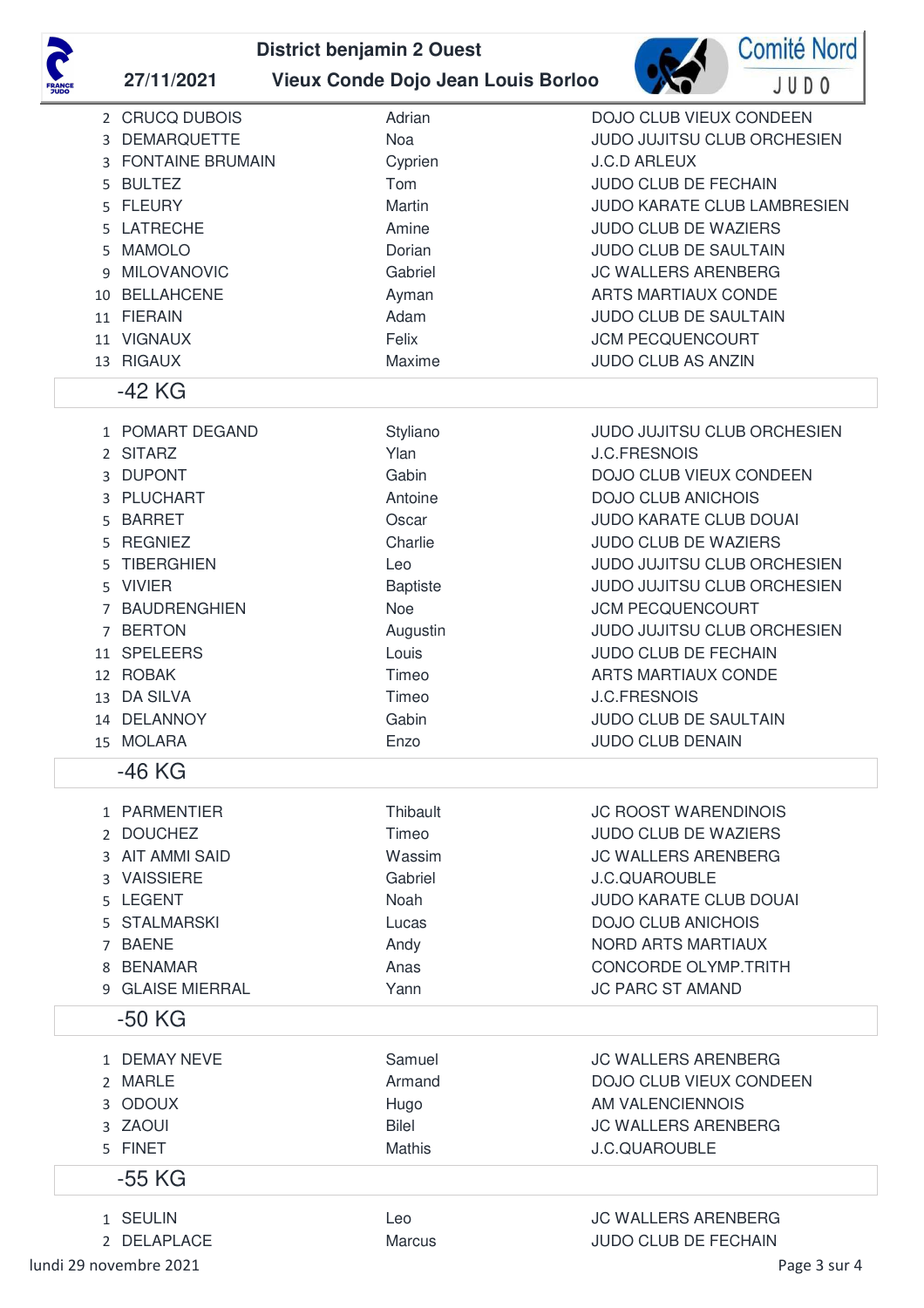

## **District benjamin 2 Ouest 27/11/2021 Vieux Conde Dojo Jean Louis Borloo**



| JDO                         |                                                                                                                                                                                                                                         |                                                                                                                                                          |                                                                                                                                                                                                                                                                                                                                                                                                                              |
|-----------------------------|-----------------------------------------------------------------------------------------------------------------------------------------------------------------------------------------------------------------------------------------|----------------------------------------------------------------------------------------------------------------------------------------------------------|------------------------------------------------------------------------------------------------------------------------------------------------------------------------------------------------------------------------------------------------------------------------------------------------------------------------------------------------------------------------------------------------------------------------------|
| 3<br>3<br>5.<br>5<br>5<br>9 | 2 CRUCQ DUBOIS<br><b>DEMARQUETTE</b><br><b>FONTAINE BRUMAIN</b><br><b>BULTEZ</b><br><b>FLEURY</b><br>5 LATRECHE<br><b>MAMOLO</b><br><b>MILOVANOVIC</b><br>10 BELLAHCENE<br>11 FIERAIN<br>11 VIGNAUX<br>13 RIGAUX                        | Adrian<br>Noa<br>Cyprien<br>Tom<br>Martin<br>Amine<br>Dorian<br>Gabriel<br>Ayman<br>Adam<br>Felix<br>Maxime                                              | DOJO CLUB VIEUX CONDEEN<br>JUDO JUJITSU CLUB ORCHESIEN<br><b>J.C.D ARLEUX</b><br>JUDO CLUB DE FECHAIN<br><b>JUDO KARATE CLUB LAMBRESIEN</b><br>JUDO CLUB DE WAZIERS<br>JUDO CLUB DE SAULTAIN<br><b>JC WALLERS ARENBERG</b><br>ARTS MARTIAUX CONDE<br>JUDO CLUB DE SAULTAIN<br><b>JCM PECQUENCOURT</b><br><b>JUDO CLUB AS ANZIN</b>                                                                                           |
| 3<br>5<br>5<br>5            | $-42$ KG<br>1 POMART DEGAND<br>2 SITARZ<br>3 DUPONT<br>PLUCHART<br><b>BARRET</b><br><b>REGNIEZ</b><br><b>TIBERGHIEN</b><br>5 VIVIER<br>7 BAUDRENGHIEN<br>7 BERTON<br>11 SPELEERS<br>12 ROBAK<br>13 DA SILVA<br>14 DELANNOY<br>15 MOLARA | Styliano<br>Ylan<br>Gabin<br>Antoine<br>Oscar<br>Charlie<br>Leo<br><b>Baptiste</b><br><b>Noe</b><br>Augustin<br>Louis<br>Timeo<br>Timeo<br>Gabin<br>Enzo | JUDO JUJITSU CLUB ORCHESIEN<br><b>J.C.FRESNOIS</b><br>DOJO CLUB VIEUX CONDEEN<br><b>DOJO CLUB ANICHOIS</b><br>JUDO KARATE CLUB DOUAI<br><b>JUDO CLUB DE WAZIERS</b><br>JUDO JUJITSU CLUB ORCHESIEN<br>JUDO JUJITSU CLUB ORCHESIEN<br><b>JCM PECQUENCOURT</b><br>JUDO JUJITSU CLUB ORCHESIEN<br>JUDO CLUB DE FECHAIN<br>ARTS MARTIAUX CONDE<br><b>J.C.FRESNOIS</b><br><b>JUDO CLUB DE SAULTAIN</b><br><b>JUDO CLUB DENAIN</b> |
|                             | -46 KG                                                                                                                                                                                                                                  |                                                                                                                                                          |                                                                                                                                                                                                                                                                                                                                                                                                                              |
| 5<br>5.<br>7<br>8           | 1 PARMENTIER<br>2 DOUCHEZ<br>3 AIT AMMI SAID<br>3 VAISSIERE<br><b>LEGENT</b><br><b>STALMARSKI</b><br>BAENE<br><b>BENAMAR</b><br>9 GLAISE MIERRAL                                                                                        | Thibault<br>Timeo<br>Wassim<br>Gabriel<br><b>Noah</b><br>Lucas<br>Andy<br>Anas<br>Yann                                                                   | <b>JC ROOST WARENDINOIS</b><br><b>JUDO CLUB DE WAZIERS</b><br><b>JC WALLERS ARENBERG</b><br><b>J.C.QUAROUBLE</b><br><b>JUDO KARATE CLUB DOUAI</b><br><b>DOJO CLUB ANICHOIS</b><br><b>NORD ARTS MARTIAUX</b><br><b>CONCORDE OLYMP.TRITH</b><br><b>JC PARC ST AMAND</b>                                                                                                                                                        |
|                             | $-50$ KG                                                                                                                                                                                                                                |                                                                                                                                                          |                                                                                                                                                                                                                                                                                                                                                                                                                              |
|                             | 1 DEMAY NEVE<br>2 MARLE<br>3 ODOUX<br>3 ZAOUI<br>5 FINET                                                                                                                                                                                | Samuel<br>Armand<br>Hugo<br><b>Bilel</b><br><b>Mathis</b>                                                                                                | <b>JC WALLERS ARENBERG</b><br>DOJO CLUB VIEUX CONDEEN<br>AM VALENCIENNOIS<br><b>JC WALLERS ARENBERG</b><br><b>J.C.QUAROUBLE</b>                                                                                                                                                                                                                                                                                              |
|                             | -55 KG                                                                                                                                                                                                                                  |                                                                                                                                                          |                                                                                                                                                                                                                                                                                                                                                                                                                              |
|                             | 1 SEULIN<br>2 DELAPLACE                                                                                                                                                                                                                 | Leo<br><b>Marcus</b>                                                                                                                                     | <b>JC WALLERS ARENBERG</b><br><b>JUDO CLUB DE FECHAIN</b>                                                                                                                                                                                                                                                                                                                                                                    |